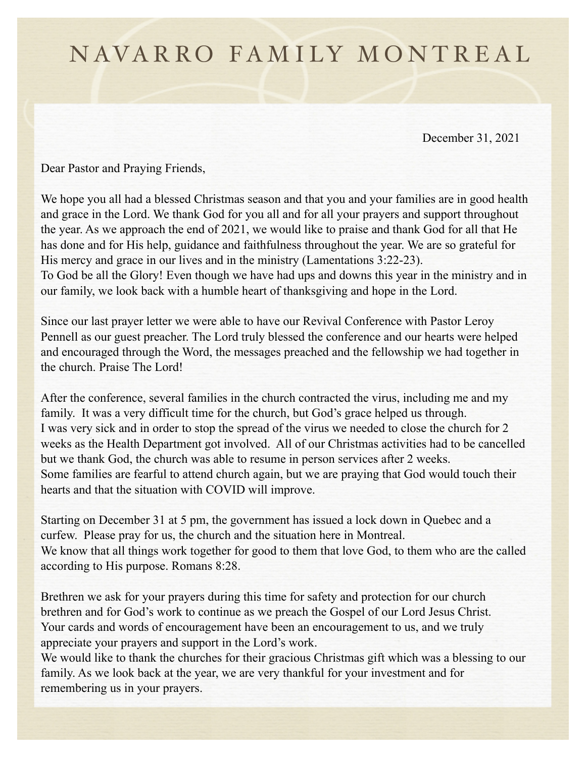## N AVARRO FAMILY MONTREAL

December 31, 2021

Dear Pastor and Praying Friends,

We hope you all had a blessed Christmas season and that you and your families are in good health and grace in the Lord. We thank God for you all and for all your prayers and support throughout the year. As we approach the end of 2021, we would like to praise and thank God for all that He has done and for His help, guidance and faithfulness throughout the year. We are so grateful for His mercy and grace in our lives and in the ministry (Lamentations 3:22-23). To God be all the Glory! Even though we have had ups and downs this year in the ministry and in our family, we look back with a humble heart of thanksgiving and hope in the Lord.

Since our last prayer letter we were able to have our Revival Conference with Pastor Leroy Pennell as our guest preacher. The Lord truly blessed the conference and our hearts were helped and encouraged through the Word, the messages preached and the fellowship we had together in the church. Praise The Lord!

After the conference, several families in the church contracted the virus, including me and my family. It was a very difficult time for the church, but God's grace helped us through. I was very sick and in order to stop the spread of the virus we needed to close the church for 2 weeks as the Health Department got involved. All of our Christmas activities had to be cancelled but we thank God, the church was able to resume in person services after 2 weeks. Some families are fearful to attend church again, but we are praying that God would touch their hearts and that the situation with COVID will improve.

Starting on December 31 at 5 pm, the government has issued a lock down in Quebec and a curfew. Please pray for us, the church and the situation here in Montreal. We know that all things work together for good to them that love God, to them who are the called according to His purpose. Romans 8:28.

Brethren we ask for your prayers during this time for safety and protection for our church brethren and for God's work to continue as we preach the Gospel of our Lord Jesus Christ. Your cards and words of encouragement have been an encouragement to us, and we truly appreciate your prayers and support in the Lord's work.

We would like to thank the churches for their gracious Christmas gift which was a blessing to our family. As we look back at the year, we are very thankful for your investment and for remembering us in your prayers.